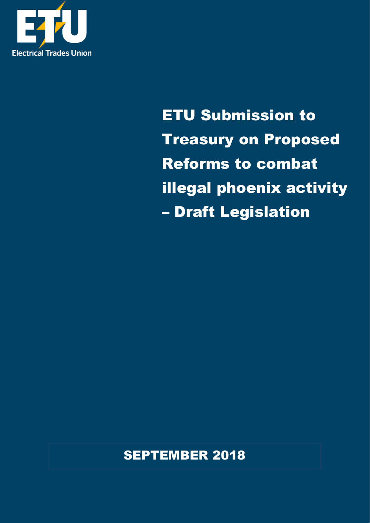

ETU Submission to Treasury on Proposed Reforms to combat illegal phoenix activity – Draft Legislation

SEPTEMBER 2018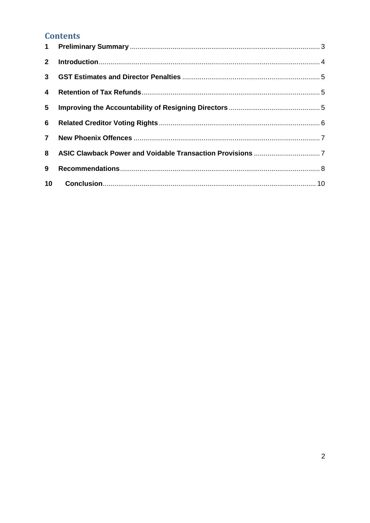# **Contents**

| 5 <sub>5</sub> |  |
|----------------|--|
|                |  |
|                |  |
|                |  |
| 9              |  |
|                |  |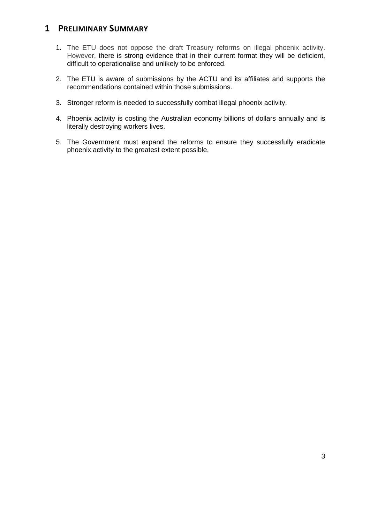### <span id="page-2-0"></span>**1 PRELIMINARY SUMMARY**

- 1. The ETU does not oppose the draft Treasury reforms on illegal phoenix activity. However, there is strong evidence that in their current format they will be deficient, difficult to operationalise and unlikely to be enforced.
- 2. The ETU is aware of submissions by the ACTU and its affiliates and supports the recommendations contained within those submissions.
- 3. Stronger reform is needed to successfully combat illegal phoenix activity.
- 4. Phoenix activity is costing the Australian economy billions of dollars annually and is literally destroying workers lives.
- 5. The Government must expand the reforms to ensure they successfully eradicate phoenix activity to the greatest extent possible.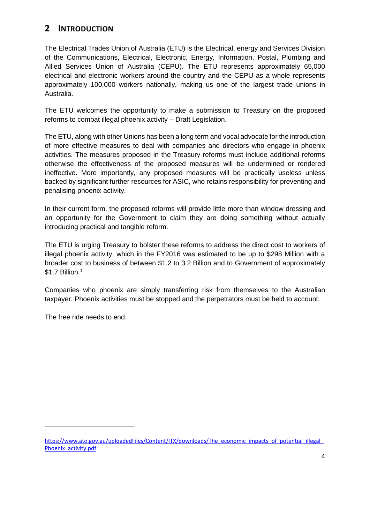# <span id="page-3-0"></span>**2 INTRODUCTION**

The Electrical Trades Union of Australia (ETU) is the Electrical, energy and Services Division of the Communications, Electrical, Electronic, Energy, Information, Postal, Plumbing and Allied Services Union of Australia (CEPU). The ETU represents approximately 65,000 electrical and electronic workers around the country and the CEPU as a whole represents approximately 100,000 workers nationally, making us one of the largest trade unions in Australia.

The ETU welcomes the opportunity to make a submission to Treasury on the proposed reforms to combat illegal phoenix activity – Draft Legislation.

The ETU, along with other Unions has been a long term and vocal advocate for the introduction of more effective measures to deal with companies and directors who engage in phoenix activities. The measures proposed in the Treasury reforms must include additional reforms otherwise the effectiveness of the proposed measures will be undermined or rendered ineffective. More importantly, any proposed measures will be practically useless unless backed by significant further resources for ASIC, who retains responsibility for preventing and penalising phoenix activity.

In their current form, the proposed reforms will provide little more than window dressing and an opportunity for the Government to claim they are doing something without actually introducing practical and tangible reform.

The ETU is urging Treasury to bolster these reforms to address the direct cost to workers of illegal phoenix activity, which in the FY2016 was estimated to be up to \$298 Million with a broader cost to business of between \$1.2 to 3.2 Billion and to Government of approximately \$1.7 Billion.<sup>1</sup>

Companies who phoenix are simply transferring risk from themselves to the Australian taxpayer. Phoenix activities must be stopped and the perpetrators must be held to account.

The free ride needs to end.

 $\frac{1}{1}$ 

https://www.ato.gov.au/uploadedFiles/Content/ITX/downloads/The\_economic\_impacts\_of\_potential\_illegal [Phoenix\\_activity.pdf](https://www.ato.gov.au/uploadedFiles/Content/ITX/downloads/The_economic_impacts_of_potential_illegal_Phoenix_activity.pdf)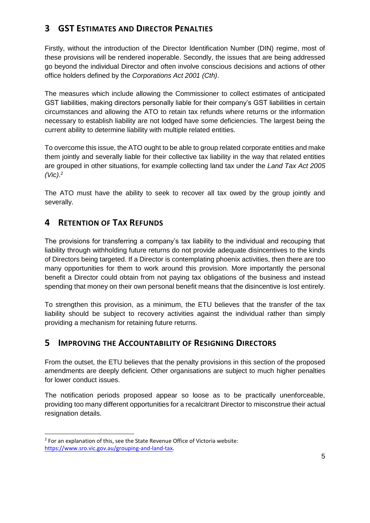# <span id="page-4-0"></span>**3 GST ESTIMATES AND DIRECTOR PENALTIES**

Firstly, without the introduction of the Director Identification Number (DIN) regime, most of these provisions will be rendered inoperable. Secondly, the issues that are being addressed go beyond the individual Director and often involve conscious decisions and actions of other office holders defined by the *Corporations Act 2001 (Cth)*.

The measures which include allowing the Commissioner to collect estimates of anticipated GST liabilities, making directors personally liable for their company's GST liabilities in certain circumstances and allowing the ATO to retain tax refunds where returns or the information necessary to establish liability are not lodged have some deficiencies. The largest being the current ability to determine liability with multiple related entities.

To overcome this issue, the ATO ought to be able to group related corporate entities and make them jointly and severally liable for their collective tax liability in the way that related entities are grouped in other situations, for example collecting land tax under the *Land Tax Act 2005 (Vic)*. 2

The ATO must have the ability to seek to recover all tax owed by the group jointly and severally.

### <span id="page-4-1"></span>**4 RETENTION OF TAX REFUNDS**

The provisions for transferring a company's tax liability to the individual and recouping that liability through withholding future returns do not provide adequate disincentives to the kinds of Directors being targeted. If a Director is contemplating phoenix activities, then there are too many opportunities for them to work around this provision. More importantly the personal benefit a Director could obtain from not paying tax obligations of the business and instead spending that money on their own personal benefit means that the disincentive is lost entirely.

To strengthen this provision, as a minimum, the ETU believes that the transfer of the tax liability should be subject to recovery activities against the individual rather than simply providing a mechanism for retaining future returns.

### <span id="page-4-2"></span>**5 IMPROVING THE ACCOUNTABILITY OF RESIGNING DIRECTORS**

From the outset, the ETU believes that the penalty provisions in this section of the proposed amendments are deeply deficient. Other organisations are subject to much higher penalties for lower conduct issues.

The notification periods proposed appear so loose as to be practically unenforceable, providing too many different opportunities for a recalcitrant Director to misconstrue their actual resignation details.

-

 $2$  For an explanation of this, see the State Revenue Office of Victoria website: [https://www.sro.vic.gov.au/grouping-and-land-tax.](https://www.sro.vic.gov.au/grouping-and-land-tax)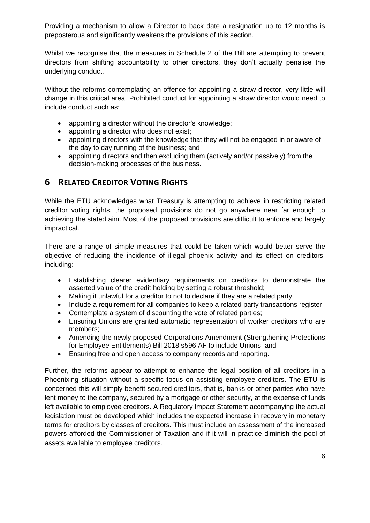Providing a mechanism to allow a Director to back date a resignation up to 12 months is preposterous and significantly weakens the provisions of this section.

Whilst we recognise that the measures in Schedule 2 of the Bill are attempting to prevent directors from shifting accountability to other directors, they don't actually penalise the underlying conduct.

Without the reforms contemplating an offence for appointing a straw director, very little will change in this critical area. Prohibited conduct for appointing a straw director would need to include conduct such as:

- appointing a director without the director's knowledge;
- appointing a director who does not exist;
- appointing directors with the knowledge that they will not be engaged in or aware of the day to day running of the business; and
- appointing directors and then excluding them (actively and/or passively) from the decision-making processes of the business.

# <span id="page-5-0"></span>**6 RELATED CREDITOR VOTING RIGHTS**

While the ETU acknowledges what Treasury is attempting to achieve in restricting related creditor voting rights, the proposed provisions do not go anywhere near far enough to achieving the stated aim. Most of the proposed provisions are difficult to enforce and largely impractical.

There are a range of simple measures that could be taken which would better serve the objective of reducing the incidence of illegal phoenix activity and its effect on creditors, including:

- Establishing clearer evidentiary requirements on creditors to demonstrate the asserted value of the credit holding by setting a robust threshold;
- Making it unlawful for a creditor to not to declare if they are a related party;
- Include a requirement for all companies to keep a related party transactions register;
- Contemplate a system of discounting the vote of related parties;
- Ensuring Unions are granted automatic representation of worker creditors who are members;
- Amending the newly proposed Corporations Amendment (Strengthening Protections for Employee Entitlements) Bill 2018 s596 AF to include Unions; and
- Ensuring free and open access to company records and reporting.

Further, the reforms appear to attempt to enhance the legal position of all creditors in a Phoenixing situation without a specific focus on assisting employee creditors. The ETU is concerned this will simply benefit secured creditors, that is, banks or other parties who have lent money to the company, secured by a mortgage or other security, at the expense of funds left available to employee creditors. A Regulatory Impact Statement accompanying the actual legislation must be developed which includes the expected increase in recovery in monetary terms for creditors by classes of creditors. This must include an assessment of the increased powers afforded the Commissioner of Taxation and if it will in practice diminish the pool of assets available to employee creditors.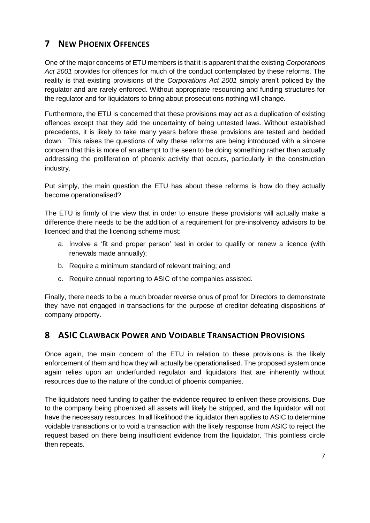# <span id="page-6-0"></span>**7 NEW PHOENIX OFFENCES**

One of the major concerns of ETU members is that it is apparent that the existing *Corporations Act 2001* provides for offences for much of the conduct contemplated by these reforms. The reality is that existing provisions of the *Corporations Act 2001* simply aren't policed by the regulator and are rarely enforced. Without appropriate resourcing and funding structures for the regulator and for liquidators to bring about prosecutions nothing will change.

Furthermore, the ETU is concerned that these provisions may act as a duplication of existing offences except that they add the uncertainty of being untested laws. Without established precedents, it is likely to take many years before these provisions are tested and bedded down. This raises the questions of why these reforms are being introduced with a sincere concern that this is more of an attempt to the seen to be doing something rather than actually addressing the proliferation of phoenix activity that occurs, particularly in the construction industry.

Put simply, the main question the ETU has about these reforms is how do they actually become operationalised?

The ETU is firmly of the view that in order to ensure these provisions will actually make a difference there needs to be the addition of a requirement for pre-insolvency advisors to be licenced and that the licencing scheme must:

- a. Involve a 'fit and proper person' test in order to qualify or renew a licence (with renewals made annually);
- b. Require a minimum standard of relevant training; and
- c. Require annual reporting to ASIC of the companies assisted.

Finally, there needs to be a much broader reverse onus of proof for Directors to demonstrate they have not engaged in transactions for the purpose of creditor defeating dispositions of company property.

# <span id="page-6-1"></span>**8 ASIC CLAWBACK POWER AND VOIDABLE TRANSACTION PROVISIONS**

Once again, the main concern of the ETU in relation to these provisions is the likely enforcement of them and how they will actually be operationalised. The proposed system once again relies upon an underfunded regulator and liquidators that are inherently without resources due to the nature of the conduct of phoenix companies.

The liquidators need funding to gather the evidence required to enliven these provisions. Due to the company being phoenixed all assets will likely be stripped, and the liquidator will not have the necessary resources. In all likelihood the liquidator then applies to ASIC to determine voidable transactions or to void a transaction with the likely response from ASIC to reject the request based on there being insufficient evidence from the liquidator. This pointless circle then repeats.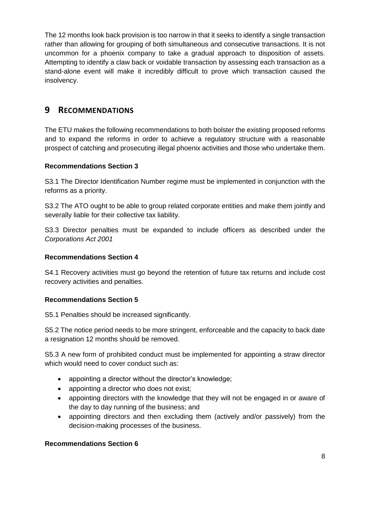The 12 months look back provision is too narrow in that it seeks to identify a single transaction rather than allowing for grouping of both simultaneous and consecutive transactions. It is not uncommon for a phoenix company to take a gradual approach to disposition of assets. Attempting to identify a claw back or voidable transaction by assessing each transaction as a stand-alone event will make it incredibly difficult to prove which transaction caused the insolvency.

### <span id="page-7-0"></span>**9 RECOMMENDATIONS**

The ETU makes the following recommendations to both bolster the existing proposed reforms and to expand the reforms in order to achieve a regulatory structure with a reasonable prospect of catching and prosecuting illegal phoenix activities and those who undertake them.

### **Recommendations Section 3**

S3.1 The Director Identification Number regime must be implemented in conjunction with the reforms as a priority.

S3.2 The ATO ought to be able to group related corporate entities and make them jointly and severally liable for their collective tax liability.

S3.3 Director penalties must be expanded to include officers as described under the *Corporations Act 2001*

### **Recommendations Section 4**

S4.1 Recovery activities must go beyond the retention of future tax returns and include cost recovery activities and penalties.

### **Recommendations Section 5**

S5.1 Penalties should be increased significantly.

S5.2 The notice period needs to be more stringent, enforceable and the capacity to back date a resignation 12 months should be removed.

S5.3 A new form of prohibited conduct must be implemented for appointing a straw director which would need to cover conduct such as:

- appointing a director without the director's knowledge;
- appointing a director who does not exist;
- appointing directors with the knowledge that they will not be engaged in or aware of the day to day running of the business; and
- appointing directors and then excluding them (actively and/or passively) from the decision-making processes of the business.

#### **Recommendations Section 6**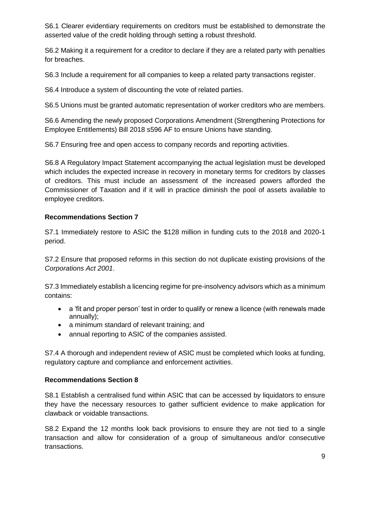S6.1 Clearer evidentiary requirements on creditors must be established to demonstrate the asserted value of the credit holding through setting a robust threshold.

S6.2 Making it a requirement for a creditor to declare if they are a related party with penalties for breaches.

S6.3 Include a requirement for all companies to keep a related party transactions register.

S6.4 Introduce a system of discounting the vote of related parties.

S6.5 Unions must be granted automatic representation of worker creditors who are members.

S6.6 Amending the newly proposed Corporations Amendment (Strengthening Protections for Employee Entitlements) Bill 2018 s596 AF to ensure Unions have standing.

S6.7 Ensuring free and open access to company records and reporting activities.

S6.8 A Regulatory Impact Statement accompanying the actual legislation must be developed which includes the expected increase in recovery in monetary terms for creditors by classes of creditors. This must include an assessment of the increased powers afforded the Commissioner of Taxation and if it will in practice diminish the pool of assets available to employee creditors.

#### **Recommendations Section 7**

S7.1 Immediately restore to ASIC the \$128 million in funding cuts to the 2018 and 2020-1 period.

S7.2 Ensure that proposed reforms in this section do not duplicate existing provisions of the *Corporations Act 2001*.

S7.3 Immediately establish a licencing regime for pre-insolvency advisors which as a minimum contains:

- a 'fit and proper person' test in order to qualify or renew a licence (with renewals made annually);
- a minimum standard of relevant training; and
- annual reporting to ASIC of the companies assisted.

S7.4 A thorough and independent review of ASIC must be completed which looks at funding, regulatory capture and compliance and enforcement activities.

#### **Recommendations Section 8**

S8.1 Establish a centralised fund within ASIC that can be accessed by liquidators to ensure they have the necessary resources to gather sufficient evidence to make application for clawback or voidable transactions.

S8.2 Expand the 12 months look back provisions to ensure they are not tied to a single transaction and allow for consideration of a group of simultaneous and/or consecutive transactions.